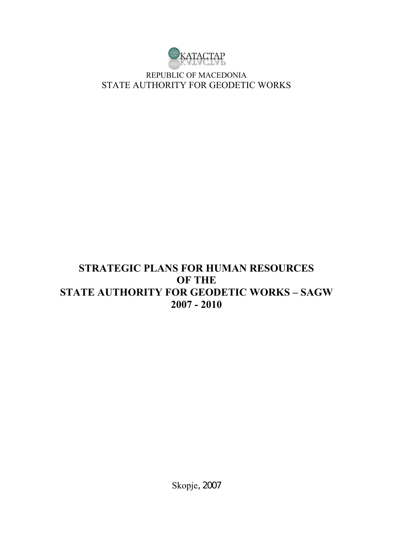

REPUBLIC OF MACEDONIA STATE AUTHORITY FOR GEODETIC WORKS

# **STRATEGIC PLANS FOR HUMAN RESOURCES OF THE STATE AUTHORITY FOR GEODETIC WORKS – SAGW 2007 - 2010**

Skopje, 2007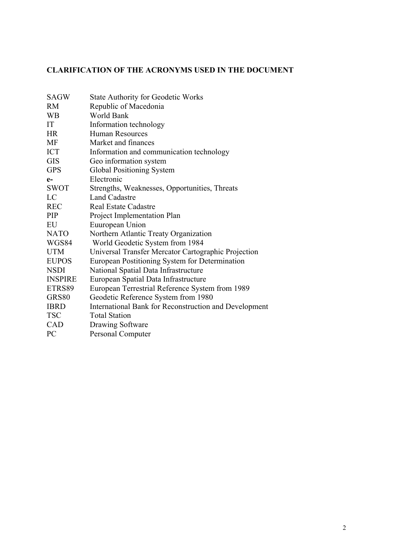# **CLARIFICATION OF THE ACRONYMS USED IN THE DOCUMENT**

| <b>SAGW</b>    | <b>State Authority for Geodetic Works</b>             |
|----------------|-------------------------------------------------------|
| <b>RM</b>      | Republic of Macedonia                                 |
| <b>WB</b>      | World Bank                                            |
| IT             | Information technology                                |
| <b>HR</b>      | <b>Human Resources</b>                                |
| MF             | Market and finances                                   |
| <b>ICT</b>     | Information and communication technology              |
| <b>GIS</b>     | Geo information system                                |
| <b>GPS</b>     | Global Positioning System                             |
| $e-$           | Electronic                                            |
| <b>SWOT</b>    | Strengths, Weaknesses, Opportunities, Threats         |
| LC             | <b>Land Cadastre</b>                                  |
| <b>REC</b>     | <b>Real Estate Cadastre</b>                           |
| PIP            | Project Implementation Plan                           |
| EU             | Euuropean Union                                       |
| <b>NATO</b>    | Northern Atlantic Treaty Organization                 |
| WGS84          | World Geodetic System from 1984                       |
| <b>UTM</b>     | Universal Transfer Mercator Cartographic Projection   |
| <b>EUPOS</b>   | European Postitioning System for Determination        |
| <b>NSDI</b>    | National Spatial Data Infrastructure                  |
| <b>INSPIRE</b> | European Spatial Data Infrastructure                  |
| ETRS89         | European Terrestrial Reference System from 1989       |
| GRS80          | Geodetic Reference System from 1980                   |
| <b>IBRD</b>    | International Bank for Reconstruction and Development |
| <b>TSC</b>     | <b>Total Station</b>                                  |
| CAD            | Drawing Software                                      |
| <b>PC</b>      | Personal Computer                                     |
|                |                                                       |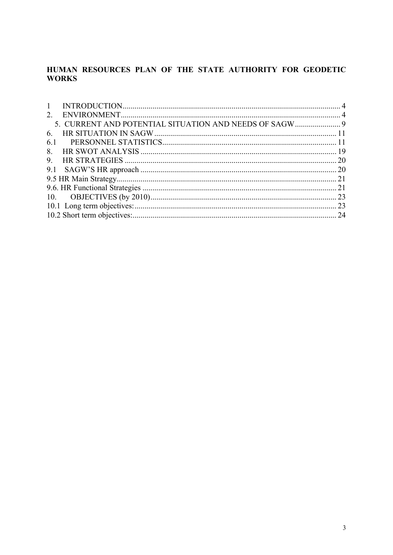# HUMAN RESOURCES PLAN OF THE STATE AUTHORITY FOR GEODETIC **WORKS**

| $1 \quad$ |  |
|-----------|--|
|           |  |
|           |  |
| 6.        |  |
| 6.1       |  |
|           |  |
|           |  |
|           |  |
|           |  |
|           |  |
|           |  |
|           |  |
|           |  |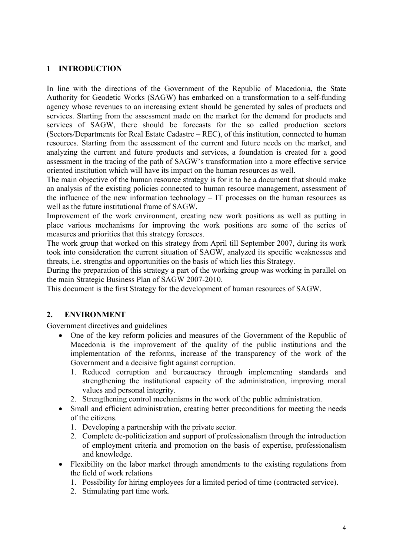## **1 INTRODUCTION**

In line with the directions of the Government of the Republic of Macedonia, the State Authority for Geodetic Works (SAGW) has embarked on a transformation to a self-funding agency whose revenues to an increasing extent should be generated by sales of products and services. Starting from the assessment made on the market for the demand for products and services of SAGW, there should be forecasts for the so called production sectors (Sectors/Departments for Real Estate Cadastre – REC), of this institution, connected to human resources. Starting from the assessment of the current and future needs on the market, and analyzing the current and future products and services, a foundation is created for a good assessment in the tracing of the path of SAGW's transformation into a more effective service oriented institution which will have its impact on the human resources as well.

The main objective of the human resource strategy is for it to be a document that should make an analysis of the existing policies connected to human resource management, assessment of the influence of the new information technology – IT processes on the human resources as well as the future institutional frame of SAGW.

Improvement of the work environment, creating new work positions as well as putting in place various mechanisms for improving the work positions are some of the series of measures and priorities that this strategy foresees.

The work group that worked on this strategy from April till September 2007, during its work took into consideration the current situation of SAGW, analyzed its specific weaknesses and threats, i.e. strengths and opportunities on the basis of which lies this Strategy.

During the preparation of this strategy a part of the working group was working in parallel on the main Strategic Business Plan of SAGW 2007-2010.

This document is the first Strategy for the development of human resources of SAGW.

## **2. ENVIRONMENT**

Government directives and guidelines

- One of the key reform policies and measures of the Government of the Republic of Macedonia is the improvement of the quality of the public institutions and the implementation of the reforms, increase of the transparency of the work of the Government and a decisive fight against corruption.
	- 1. Reduced corruption and bureaucracy through implementing standards and strengthening the institutional capacity of the administration, improving moral values and personal integrity.
	- 2. Strengthening control mechanisms in the work of the public administration.
- Small and efficient administration, creating better preconditions for meeting the needs of the citizens.
	- 1. Developing a partnership with the private sector.
	- 2. Complete de-politicization and support of professionalism through the introduction of employment criteria and promotion on the basis of expertise, professionalism and knowledge.
- Flexibility on the labor market through amendments to the existing regulations from the field of work relations
	- 1. Possibility for hiring employees for a limited period of time (contracted service).
	- 2. Stimulating part time work.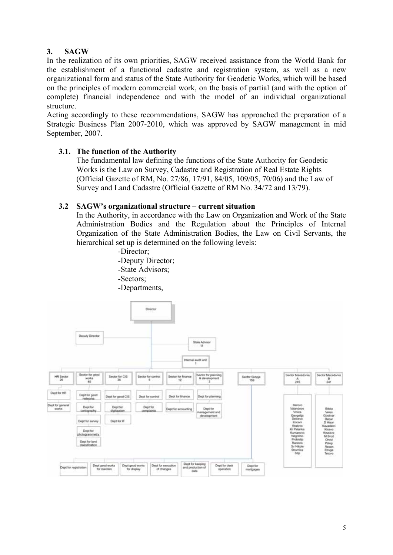# **3. SAGW**

In the realization of its own priorities, SAGW received assistance from the World Bank for the establishment of a functional cadastre and registration system, as well as a new organizational form and status of the State Authority for Geodetic Works, which will be based on the principles of modern commercial work, on the basis of partial (and with the option of complete) financial independence and with the model of an individual organizational structure.

Acting accordingly to these recommendations, SAGW has approached the preparation of a Strategic Business Plan 2007-2010, which was approved by SAGW management in mid September, 2007.

## **3.1. The function of the Authority**

 The fundamental law defining the functions of the State Authority for Geodetic Works is the Law on Survey, Cadastre and Registration of Real Estate Rights (Official Gazette of RM, No. 27/86, 17/91, 84/05, 109/05, 70/06) and the Law of Survey and Land Cadastre (Official Gazette of RM No. 34/72 and 13/79).

#### **3.2 SAGW's organizational structure – current situation**

In the Authority, in accordance with the Law on Organization and Work of the State Administration Bodies and the Regulation about the Principles of Internal Organization of the State Administration Bodies, the Law on Civil Servants, the hierarchical set up is determined on the following levels:



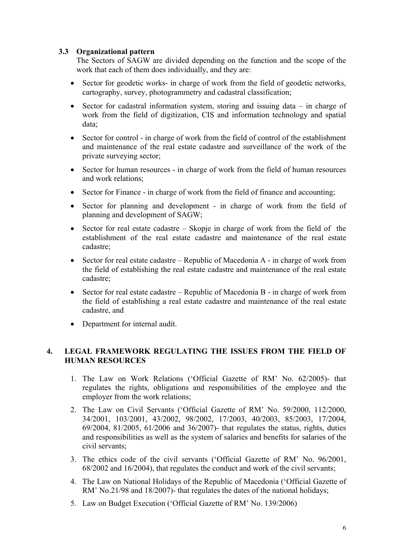## **3.3 Organizational pattern**

The Sectors of SAGW are divided depending on the function and the scope of the work that each of them does individually, and they are:

- Sector for geodetic works- in charge of work from the field of geodetic networks, cartography, survey, photogrammetry and cadastral classification;
- Sector for cadastral information system, storing and issuing data in charge of work from the field of digitization, CIS and information technology and spatial data;
- Sector for control in charge of work from the field of control of the establishment and maintenance of the real estate cadastre and surveillance of the work of the private surveying sector;
- Sector for human resources in charge of work from the field of human resources and work relations;
- Sector for Finance in charge of work from the field of finance and accounting:
- Sector for planning and development in charge of work from the field of planning and development of SAGW;
- Sector for real estate cadastre Skopje in charge of work from the field of the establishment of the real estate cadastre and maintenance of the real estate cadastre;
- Sector for real estate cadastre Republic of Macedonia A in charge of work from the field of establishing the real estate cadastre and maintenance of the real estate cadastre;
- Sector for real estate cadastre Republic of Macedonia B in charge of work from the field of establishing a real estate cadastre and maintenance of the real estate cadastre, and
- Department for internal audit.

# **4. LEGAL FRAMEWORK REGULATING THE ISSUES FROM THE FIELD OF HUMAN RESOURCES**

- 1. The Law on Work Relations ('Official Gazette of RM' No. 62/2005)- that regulates the rights, obligations and responsibilities of the employee and the employer from the work relations;
- 2. The Law on Civil Servants ('Official Gazette of RM' No. 59/2000, 112/2000, 34/2001, 103/2001, 43/2002, 98/2002, 17/2003, 40/2003, 85/2003, 17/2004, 69/2004, 81/2005, 61/2006 and 36/2007)- that regulates the status, rights, duties and responsibilities as well as the system of salaries and benefits for salaries of the civil servants;
- 3. The ethics code of the civil servants ('Official Gazette of RM' No. 96/2001, 68/2002 and 16/2004), that regulates the conduct and work of the civil servants;
- 4. The Law on National Holidays of the Republic of Macedonia ('Official Gazette of RM' No.21/98 and 18/2007)- that regulates the dates of the national holidays;
- 5. Law on Budget Execution ('Official Gazette of RM' No. 139/2006)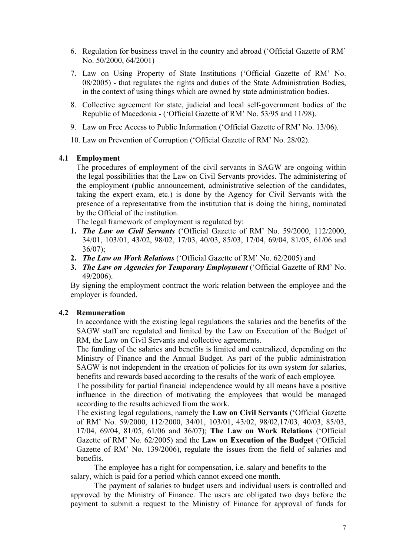- 6. Regulation for business travel in the country and abroad ('Official Gazette of RM' No. 50/2000, 64/2001)
- 7. Law on Using Property of State Institutions ('Official Gazette of RM' No. 08/2005) - that regulates the rights and duties of the State Administration Bodies, in the context of using things which are owned by state administration bodies.
- 8. Collective agreement for state, judicial and local self-government bodies of the Republic of Macedonia - ('Official Gazette of RM' No. 53/95 and 11/98).
- 9. Law on Free Access to Public Information ('Official Gazette of RM' No. 13/06).

10. Law on Prevention of Corruption ('Official Gazette of RM' No. 28/02).

#### **4.1 Employment**

The procedures of employment of the civil servants in SAGW are ongoing within the legal possibilities that the Law on Civil Servants provides. The administering of the employment (public announcement, administrative selection of the candidates, taking the expert exam, etc.) is done by the Agency for Civil Servants with the presence of a representative from the institution that is doing the hiring, nominated by the Official of the institution.

The legal framework of employment is regulated by:

- **1.** *The Law on Civil Servants* ('Official Gazette of RM' No. 59/2000, 112/2000, 34/01, 103/01, 43/02, 98/02, 17/03, 40/03, 85/03, 17/04, 69/04, 81/05, 61/06 and  $36/07$ :
- **2.** *The Law on Work Relations* ('Official Gazette of RM' No. 62/2005) and
- **3.** *The Law on Agencies for Temporary Employment* ('Official Gazette of RM' No. 49/2006).

By signing the employment contract the work relation between the employee and the employer is founded.

#### **4.2 Remuneration**

In accordance with the existing legal regulations the salaries and the benefits of the SAGW staff are regulated and limited by the Law on Execution of the Budget of RM, the Law on Civil Servants and collective agreements.

The funding of the salaries and benefits is limited and centralized, depending on the Ministry of Finance and the Annual Budget. As part of the public administration SAGW is not independent in the creation of policies for its own system for salaries, benefits and rewards based according to the results of the work of each employee.

The possibility for partial financial independence would by all means have a positive influence in the direction of motivating the employees that would be managed according to the results achieved from the work.

The existing legal regulations, namely the **Law on Civil Servants** ('Official Gazette of RM' No. 59/2000, 112/2000, 34/01, 103/01, 43/02, 98/02,17/03, 40/03, 85/03, 17/04, 69/04, 81/05, 61/06 and 36/07); **The Law on Work Relations** ('Official Gazette of RM' No. 62/2005) and the **Law on Execution of the Budget** ('Official Gazette of RM' No. 139/2006), regulate the issues from the field of salaries and benefits.

The employee has a right for compensation, i.e. salary and benefits to the salary, which is paid for a period which cannot exceed one month.

The payment of salaries to budget users and individual users is controlled and approved by the Ministry of Finance. The users are obligated two days before the payment to submit a request to the Ministry of Finance for approval of funds for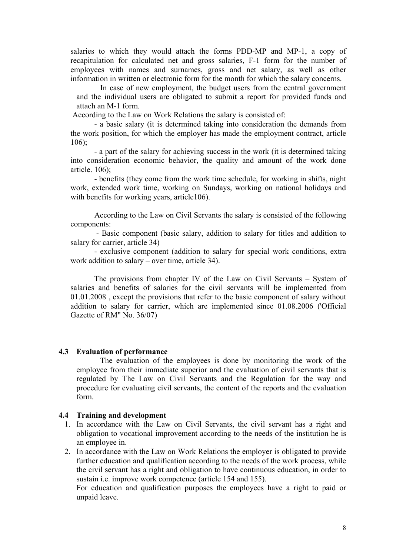salaries to which they would attach the forms PDD-MP and MP-1, a copy of recapitulation for calculated net and gross salaries, F-1 form for the number of employees with names and surnames, gross and net salary, as well as other information in written or electronic form for the month for which the salary concerns.

In case of new employment, the budget users from the central government and the individual users are obligated to submit a report for provided funds and attach an M-1 form.

According to the Law on Work Relations the salary is consisted of:

- a basic salary (it is determined taking into consideration the demands from the work position, for which the employer has made the employment contract, article  $106$ 

- a part of the salary for achieving success in the work (it is determined taking into consideration economic behavior, the quality and amount of the work done article. 106);

- benefits (they come from the work time schedule, for working in shifts, night work, extended work time, working on Sundays, working on national holidays and with benefits for working years, article106).

According to the Law on Civil Servants the salary is consisted of the following components:

 - Basic component (basic salary, addition to salary for titles and addition to salary for carrier, article 34)

- exclusive component (addition to salary for special work conditions, extra work addition to salary – over time, article 34).

The provisions from chapter IV of the Law on Civil Servants – System of salaries and benefits of salaries for the civil servants will be implemented from 01.01.2008 , except the provisions that refer to the basic component of salary without addition to salary for carrier, which are implemented since 01.08.2006 ('Official Gazette of RM" No. 36/07)

#### **4.3 Evaluation of performance**

The evaluation of the employees is done by monitoring the work of the employee from their immediate superior and the evaluation of civil servants that is regulated by The Law on Civil Servants and the Regulation for the way and procedure for evaluating civil servants, the content of the reports and the evaluation form.

#### **4.4 Training and development**

- 1. In accordance with the Law on Civil Servants, the civil servant has a right and obligation to vocational improvement according to the needs of the institution he is an employee in.
- 2. In accordance with the Law on Work Relations the employer is obligated to provide further education and qualification according to the needs of the work process, while the civil servant has a right and obligation to have continuous education, in order to sustain i.e. improve work competence (article 154 and 155).

For education and qualification purposes the employees have a right to paid or unpaid leave.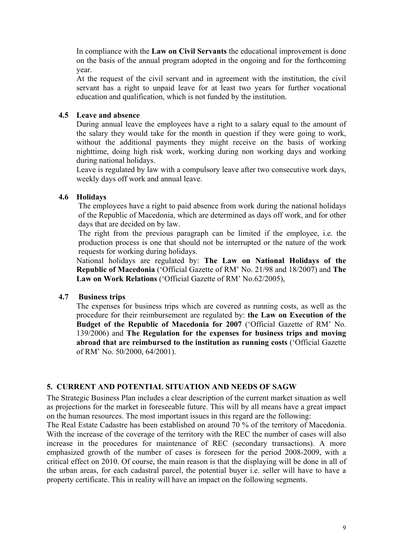In compliance with the **Law on Civil Servants** the educational improvement is done on the basis of the annual program adopted in the ongoing and for the forthcoming year.

At the request of the civil servant and in agreement with the institution, the civil servant has a right to unpaid leave for at least two years for further vocational education and qualification, which is not funded by the institution.

## **4.5 Leave and absence**

During annual leave the employees have a right to a salary equal to the amount of the salary they would take for the month in question if they were going to work, without the additional payments they might receive on the basis of working nighttime, doing high risk work, working during non working days and working during national holidays.

Leave is regulated by law with a compulsory leave after two consecutive work days, weekly days off work and annual leave.

## **4.6 Holidays**

The employees have a right to paid absence from work during the national holidays of the Republic of Macedonia, which are determined as days off work, and for other days that are decided on by law.

The right from the previous paragraph can be limited if the employee, i.e. the production process is one that should not be interrupted or the nature of the work requests for working during holidays.

National holidays are regulated by: **The Law on National Holidays of the Republic of Macedonia** ('Official Gazette of RM' No. 21/98 and 18/2007) and **The Law on Work Relations** ('Official Gazette of RM' No.62/2005),

## **4.7 Business trips**

The expenses for business trips which are covered as running costs, as well as the procedure for their reimbursement are regulated by: **the Law on Execution of the Budget of the Republic of Macedonia for 2007** ('Official Gazette of RM' No. 139/2006) and **The Regulation for the expenses for business trips and moving abroad that are reimbursed to the institution as running costs** ('Official Gazette of RM' No. 50/2000, 64/2001).

## **5. CURRENT AND POTENTIAL SITUATION AND NEEDS OF SAGW**

The Strategic Business Plan includes a clear description of the current market situation as well as projections for the market in foreseeable future. This will by all means have a great impact on the human resources. The most important issues in this regard are the following:

The Real Estate Cadastre has been established on around 70 % of the territory of Macedonia. With the increase of the coverage of the territory with the REC the number of cases will also increase in the procedures for maintenance of REC (secondary transactions). A more emphasized growth of the number of cases is foreseen for the period 2008-2009, with a critical effect on 2010. Of course, the main reason is that the displaying will be done in all of the urban areas, for each cadastral parcel, the potential buyer i.e. seller will have to have a property certificate. This in reality will have an impact on the following segments.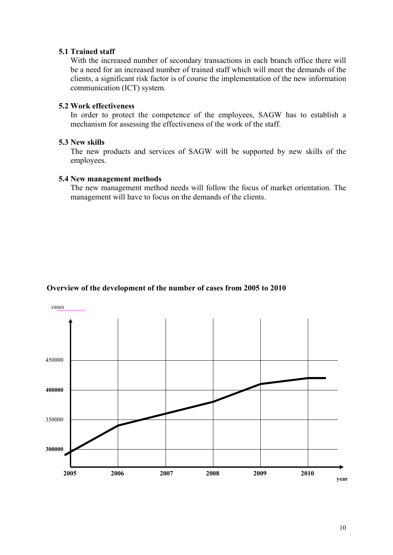#### **5.1 Trained staff**

With the increased number of secondary transactions in each branch office there will be a need for an increased number of trained staff which will meet the demands of the clients, a significant risk factor is of course the implementation of the new information communication (ICT) system.

#### **5.2 Work effectiveness**

In order to protect the competence of the employees, SAGW has to establish a mechanism for assessing the effectiveness of the work of the staff.

#### **5.3 New skills**

The new products and services of SAGW will be supported by new skills of the employees.

#### **5.4 New management methods**

The new management method needs will follow the focus of market orientation. The management will have to focus on the demands of the clients.

#### **Overview of the development of the number of cases from 2005 to 2010**

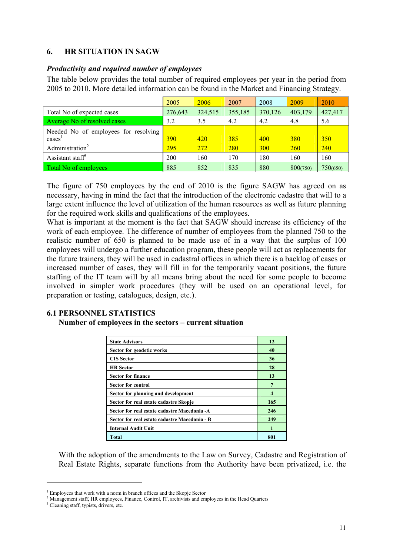## **6. HR SITUATION IN SAGW**

#### *Productivity and required number of employees*

The table below provides the total number of required employees per year in the period from 2005 to 2010. More detailed information can be found in the Market and Financing Strategy.

|                                      | 2005    | 2006    | 2007    | 2008       | 2009       | 2010       |
|--------------------------------------|---------|---------|---------|------------|------------|------------|
| Total No of expected cases           | 276,643 | 324,515 | 355,185 | 370,126    | 403,179    | 427,417    |
| Average No of resolved cases         | 3.2     | 3.5     | 4.2     | 4.2        | 4.8        | 5.6        |
| Needed No of employees for resolving |         |         |         |            |            |            |
| cases <sup>1</sup>                   | 390     | 420     | 385     | 400        | <b>380</b> | <b>350</b> |
| Administration <sup>2</sup>          | 295     | 272     | 280     | <b>300</b> | <b>260</b> | 240        |
| Assistant staff <sup>3</sup>         | 200     | 160     | 170     | 180        | 160        | 160        |
| Total No of employees                | 885     | 852     | 835     | 880        | 800(750)   | 750(650)   |

The figure of 750 employees by the end of 2010 is the figure SAGW has agreed on as necessary, having in mind the fact that the introduction of the electronic cadastre that will to a large extent influence the level of utilization of the human resources as well as future planning for the required work skills and qualifications of the employees.

What is important at the moment is the fact that SAGW should increase its efficiency of the work of each employee. The difference of number of employees from the planned 750 to the realistic number of 650 is planned to be made use of in a way that the surplus of 100 employees will undergo a further education program, these people will act as replacements for the future trainers, they will be used in cadastral offices in which there is a backlog of cases or increased number of cases, they will fill in for the temporarily vacant positions, the future staffing of the IT team will by all means bring about the need for some people to become involved in simpler work procedures (they will be used on an operational level, for preparation or testing, catalogues, design, etc.).

# **6.1 PERSONNEL STATISTICS**

#### **Number of employees in the sectors – current situation**

| <b>State Advisors</b>                         | 12  |
|-----------------------------------------------|-----|
| Sector for geodetic works                     | 40  |
| <b>CIS</b> Sector                             | 36  |
| <b>HR</b> Sector                              | 28  |
| <b>Sector for finance</b>                     | 13  |
| <b>Sector for control</b>                     |     |
| Sector for planning and development           |     |
| Sector for real estate cadastre Skopje        | 165 |
| Sector for real estate cadastre Macedonia -A  | 246 |
| Sector for real estate cadastre Macedonia - B | 249 |
| <b>Internal Audit Unit</b>                    |     |
| <b>Total</b>                                  | 801 |

With the adoption of the amendments to the Law on Survey, Cadastre and Registration of Real Estate Rights, separate functions from the Authority have been privatized, i.e. the

<u>.</u>

 $\frac{1}{2}$  Employees that work with a norm in branch offices and the Skopje Sector  $\frac{2}{3}$  Managament staff. HP employees. Eingnes, Control, IT, arguments and employees

<sup>&</sup>lt;sup>2</sup> Management staff, HR employees, Finance, Control, IT, archivists and employees in the Head Quarters

<sup>&</sup>lt;sup>3</sup> Cleaning staff, typists, drivers, etc.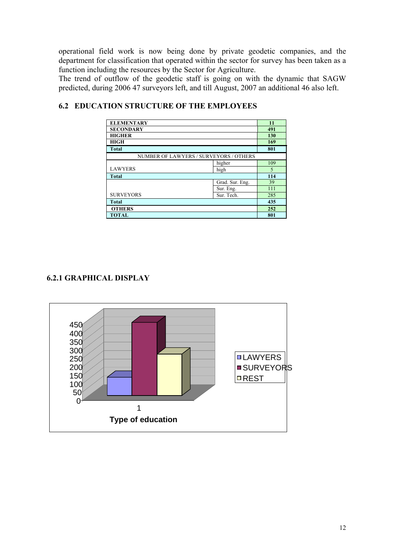operational field work is now being done by private geodetic companies, and the department for classification that operated within the sector for survey has been taken as a function including the resources by the Sector for Agriculture.

The trend of outflow of the geodetic staff is going on with the dynamic that SAGW predicted, during 2006 47 surveyors left, and till August, 2007 an additional 46 also left.

| <b>ELEMENTARY</b>                      |        | 11  |
|----------------------------------------|--------|-----|
| <b>SECONDARY</b>                       |        | 491 |
| <b>HIGHER</b>                          |        | 130 |
| <b>HIGH</b>                            |        | 169 |
| <b>Total</b>                           |        | 801 |
| NUMBER OF LAWYERS / SURVEYORS / OTHERS |        |     |
|                                        | higher | 109 |
| <b>LAWYERS</b>                         | high   | 5   |
| <b>Total</b>                           | 114    |     |
|                                        | 39     |     |
|                                        | 111    |     |
| <b>SURVEYORS</b><br>Sur. Tech.         |        | 285 |
| <b>Total</b>                           | 435    |     |
| <b>OTHERS</b>                          | 252    |     |
| <b>TOTAL</b>                           | 801    |     |

# **6.2 EDUCATION STRUCTURE OF THE EMPLOYEES**

# **6.2.1 GRAPHICAL DISPLAY**

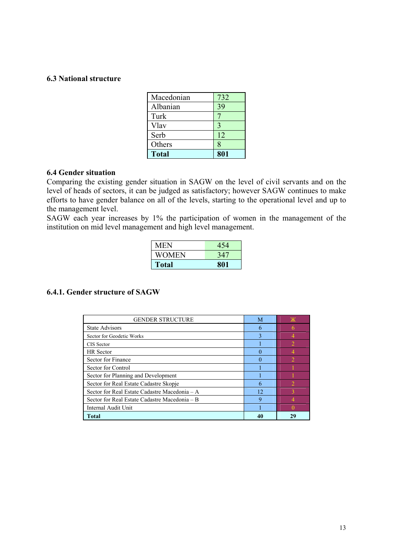## **6.3 National structure**

| Macedonian   | 732 |
|--------------|-----|
| Albanian     | 39  |
| Turk         |     |
| Vlav         |     |
| Serb         | 12  |
| Others       | 8   |
| <b>Total</b> | 801 |

#### **6.4 Gender situation**

Comparing the existing gender situation in SAGW on the level of civil servants and on the level of heads of sectors, it can be judged as satisfactory; however SAGW continues to make efforts to have gender balance on all of the levels, starting to the operational level and up to the management level.

SAGW each year increases by 1% the participation of women in the management of the institution on mid level management and high level management.

| MEN          | 454 |
|--------------|-----|
| WOMEN        | 347 |
| <b>Total</b> | 801 |

#### **6.4.1. Gender structure of SAGW**

| <b>GENDER STRUCTURE</b>                       | M  | Ж  |
|-----------------------------------------------|----|----|
| <b>State Advisors</b>                         | 6  |    |
| Sector for Geodetic Works                     | 3  |    |
| CIS Sector                                    |    |    |
| <b>HR</b> Sector                              | 0  |    |
| Sector for Finance                            | 0  |    |
| Sector for Control                            |    |    |
| Sector for Planning and Development           |    |    |
| Sector for Real Estate Cadastre Skopje        | 6  |    |
| Sector for Real Estate Cadastre Macedonia - A | 12 |    |
| Sector for Real Estate Cadastre Macedonia – B | 9  |    |
| Internal Audit Unit                           |    |    |
| <b>Total</b>                                  | 40 | 29 |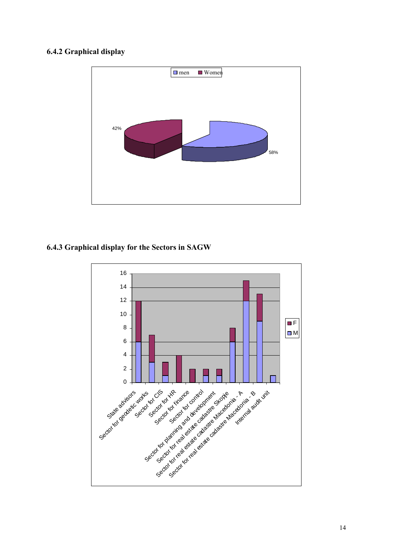# **6.4.2 Graphical display**



## **6.4.3 Graphical display for the Sectors in SAGW**

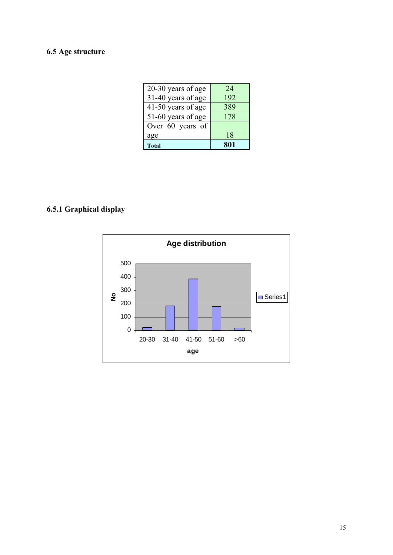# **6.5 Age structure**

| 20-30 years of age | 24  |
|--------------------|-----|
| 31-40 years of age | 192 |
| 41-50 years of age | 389 |
| 51-60 years of age | 178 |
| Over 60 years of   |     |
| age                | 18  |
| <b>Total</b>       | 801 |

# **6.5.1 Graphical display**

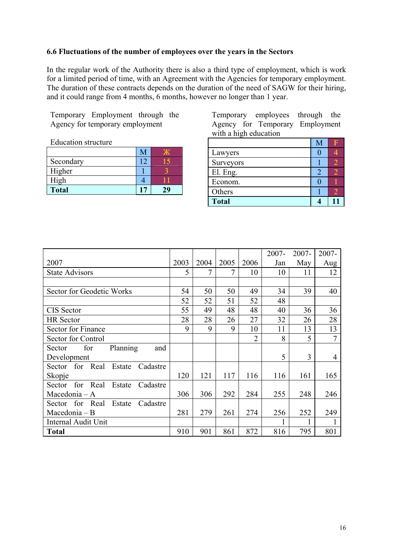#### **6.6 Fluctuations of the number of employees over the years in the Sectors**

In the regular work of the Authority there is also a third type of employment, which is work for a limited period of time, with an Agreement with the Agencies for temporary employment. The duration of these contracts depends on the duration of the need of SAGW for their hiring, and it could range from 4 months, 6 months, however no longer than 1 year.

Temporary Employment through the Agency for temporary employment

Education structure

| Secondary    |  |
|--------------|--|
| Higher       |  |
| High         |  |
| <b>Total</b> |  |

Temporary employees through the Agency for Temporary Employment with a high education

| Lawyers      |  |
|--------------|--|
| Surveyors    |  |
| El. Eng.     |  |
| Econom.      |  |
| Others       |  |
| <b>Total</b> |  |

|                                          |      |      |      |                | $2007 -$ | 2007- | 2007-          |
|------------------------------------------|------|------|------|----------------|----------|-------|----------------|
| 2007                                     | 2003 | 2004 | 2005 | 2006           | Jan      | May   | Aug            |
| <b>State Advisors</b>                    | 5    | 7    | 7    | 10             | 10       | 11    | 12             |
|                                          |      |      |      |                |          |       |                |
| Sector for Geodetic Works                | 54   | 50   | 50   | 49             | 34       | 39    | 40             |
|                                          | 52   | 52   | 51   | 52             | 48       |       |                |
| <b>CIS</b> Sector                        | 55   | 49   | 48   | 48             | 40       | 36    | 36             |
| <b>HR</b> Sector                         | 28   | 28   | 26   | 27             | 32       | 26    | 28             |
| <b>Sector for Finance</b>                | 9    | 9    | 9    | 10             | 11       | 13    | 13             |
| Sector for Control                       |      |      |      | $\overline{2}$ | 8        | 5     | $\overline{7}$ |
| Planning<br>for<br>and<br>Sector         |      |      |      |                |          |       |                |
| Development                              |      |      |      |                | 5        | 3     | 4              |
| for Real<br>Cadastre<br>Estate<br>Sector |      |      |      |                |          |       |                |
| Skopje                                   | 120  | 121  | 117  | 116            | 116      | 161   | 165            |
| for Real<br>Estate<br>Sector<br>Cadastre |      |      |      |                |          |       |                |
| Macedonia - A                            | 306  | 306  | 292  | 284            | 255      | 248   | 246            |
| Sector for Real<br>Estate<br>Cadastre    |      |      |      |                |          |       |                |
| Macedonia – B                            |      | 279  | 261  | 274            | 256      | 252   | 249            |
| <b>Internal Audit Unit</b>               |      |      |      |                |          |       |                |
| <b>Total</b>                             | 910  | 901  | 861  | 872            | 816      | 795   | 801            |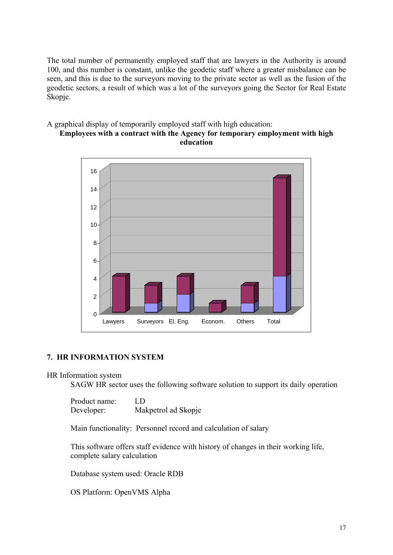The total number of permanently employed staff that are lawyers in the Authority is around 100, and this number is constant, unlike the geodetic staff where a greater misbalance can be seen, and this is due to the surveyors moving to the private sector as well as the fusion of the geodetic sectors, a result of which was a lot of the surveyors going the Sector for Real Estate Skopje.

#### A graphical display of temporarily employed staff with high education: **Employees with a contract with the Agency for temporary employment with high education**



## **7. HR INFORMATION SYSTEM**

HR Information system

SAGW HR sector uses the following software solution to support its daily operation

| Product name: | LD                  |
|---------------|---------------------|
| Developer:    | Makpetrol ad Skopje |

Main functionality: Personnel record and calculation of salary

This software offers staff evidence with history of changes in their working life, complete salary calculation

Database system used: Oracle RDB

OS Platform: OpenVMS Alpha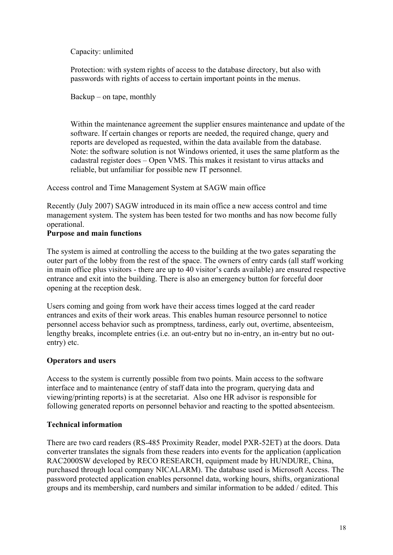Capacity: unlimited

Protection: with system rights of access to the database directory, but also with passwords with rights of access to certain important points in the menus.

Backup – on tape, monthly

Within the maintenance agreement the supplier ensures maintenance and update of the software. If certain changes or reports are needed, the required change, query and reports are developed as requested, within the data available from the database. Note: the software solution is not Windows oriented, it uses the same platform as the cadastral register does – Open VMS. This makes it resistant to virus attacks and reliable, but unfamiliar for possible new IT personnel.

Access control and Time Management System at SAGW main office

Recently (July 2007) SAGW introduced in its main office a new access control and time management system. The system has been tested for two months and has now become fully operational.

## **Purpose and main functions**

The system is aimed at controlling the access to the building at the two gates separating the outer part of the lobby from the rest of the space. The owners of entry cards (all staff working in main office plus visitors - there are up to 40 visitor's cards available) are ensured respective entrance and exit into the building. There is also an emergency button for forceful door opening at the reception desk.

Users coming and going from work have their access times logged at the card reader entrances and exits of their work areas. This enables human resource personnel to notice personnel access behavior such as promptness, tardiness, early out, overtime, absenteeism, lengthy breaks, incomplete entries (i.e. an out-entry but no in-entry, an in-entry but no outentry) etc.

## **Operators and users**

Access to the system is currently possible from two points. Main access to the software interface and to maintenance (entry of staff data into the program, querying data and viewing/printing reports) is at the secretariat. Also one HR advisor is responsible for following generated reports on personnel behavior and reacting to the spotted absenteeism.

## **Technical information**

There are two card readers (RS-485 Proximity Reader, model PXR-52ET) at the doors. Data converter translates the signals from these readers into events for the application (application RAC2000SW developed by RECO RESEARCH, equipment made by HUNDURE, China, purchased through local company NICALARM). The database used is Microsoft Access. The password protected application enables personnel data, working hours, shifts, organizational groups and its membership, card numbers and similar information to be added / edited. This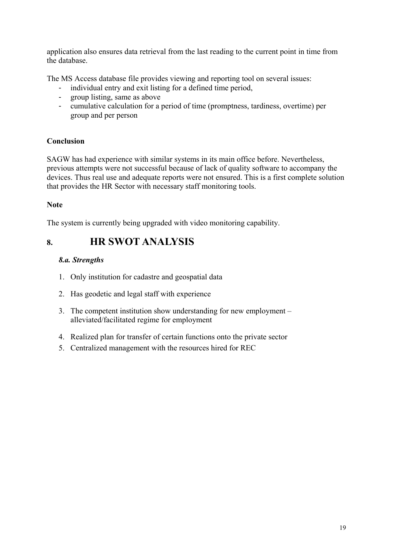application also ensures data retrieval from the last reading to the current point in time from the database.

The MS Access database file provides viewing and reporting tool on several issues:

- individual entry and exit listing for a defined time period,
- group listing, same as above
- cumulative calculation for a period of time (promptness, tardiness, overtime) per group and per person

# **Conclusion**

SAGW has had experience with similar systems in its main office before. Nevertheless, previous attempts were not successful because of lack of quality software to accompany the devices. Thus real use and adequate reports were not ensured. This is a first complete solution that provides the HR Sector with necessary staff monitoring tools.

## **Note**

The system is currently being upgraded with video monitoring capability.

# **8. HR SWOT ANALYSIS**

## *8.а. Strengths*

- 1. Only institution for cadastre and geospatial data
- 2. Has geodetic and legal staff with experience
- 3. The competent institution show understanding for new employment alleviated/facilitated regime for employment
- 4. Realized plan for transfer of certain functions onto the private sector
- 5. Centralized management with the resources hired for REC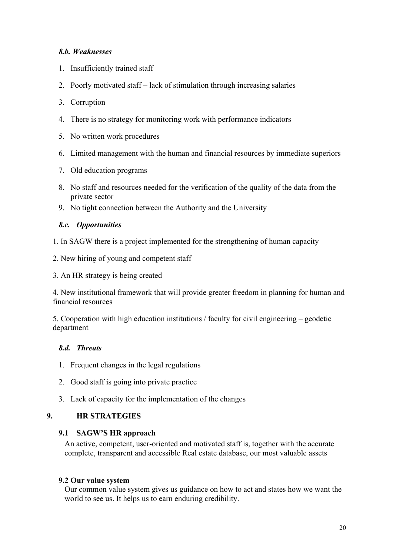## *8.b. Weaknesses*

- 1. Insufficiently trained staff
- 2. Poorly motivated staff lack of stimulation through increasing salaries
- 3. Corruption
- 4. There is no strategy for monitoring work with performance indicators
- 5. No written work procedures
- 6. Limited management with the human and financial resources by immediate superiors
- 7. Old education programs
- 8. No staff and resources needed for the verification of the quality of the data from the private sector
- 9. No tight connection between the Authority and the University

## *8.c. Opportunities*

- 1. In SAGW there is a project implemented for the strengthening of human capacity
- 2. New hiring of young and competent staff
- 3. An HR strategy is being created

4. New institutional framework that will provide greater freedom in planning for human and financial resources

5. Cooperation with high education institutions / faculty for civil engineering – geodetic department

# *8.d. Threats*

- 1. Frequent changes in the legal regulations
- 2. Good staff is going into private practice
- 3. Lack of capacity for the implementation of the changes

## **9. HR STRATEGIES**

## **9.1 SAGW'S HR approach**

An active, competent, user-oriented and motivated staff is, together with the accurate complete, transparent and accessible Real estate database, our most valuable assets

## **9.2 Our value system**

Our common value system gives us guidance on how to act and states how we want the world to see us. It helps us to earn enduring credibility.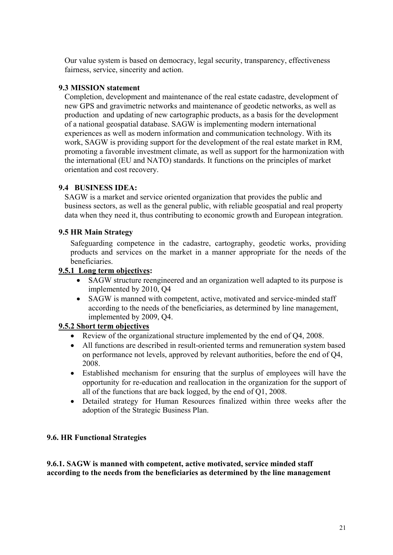Our value system is based on democracy, legal security, transparency, effectiveness fairness, service, sincerity and action.

# **9.3 MISSION statement**

Completion, development and maintenance of the real estate cadastre, development of new GPS and gravimetric networks and maintenance of geodetic networks, as well as production and updating of new cartographic products, as a basis for the development of a national geospatial database. SAGW is implementing modern international experiences as well as modern information and communication technology. With its work, SAGW is providing support for the development of the real estate market in RM, promoting a favorable investment climate, as well as support for the harmonization with the international (EU and NATO) standards. It functions on the principles of market orientation and cost recovery.

## **9.4 BUSINESS IDEA:**

SAGW is a market and service oriented organization that provides the public and business sectors, as well as the general public, with reliable geospatial and real property data when they need it, thus contributing to economic growth and European integration.

#### **9.5 HR Main Strategy**

Safeguarding competence in the cadastre, cartography, geodetic works, providing products and services on the market in a manner appropriate for the needs of the beneficiaries.

#### **9.5.1 Long term objectives:**

- SAGW structure reengineered and an organization well adapted to its purpose is implemented by 2010, Q4
- SAGW is manned with competent, active, motivated and service-minded staff according to the needs of the beneficiaries, as determined by line management, implemented by 2009, Q4.

## **9.5.2 Short term objectives**

- Review of the organizational structure implemented by the end of Q4, 2008.
- All functions are described in result-oriented terms and remuneration system based on performance not levels, approved by relevant authorities, before the end of Q4, 2008.
- Established mechanism for ensuring that the surplus of employees will have the opportunity for re-education and reallocation in the organization for the support of all of the functions that are back logged, by the end of Q1, 2008.
- Detailed strategy for Human Resources finalized within three weeks after the adoption of the Strategic Business Plan.

#### **9.6. HR Functional Strategies**

**9.6.1. SAGW is manned with competent, active motivated, service minded staff according to the needs from the beneficiaries as determined by the line management**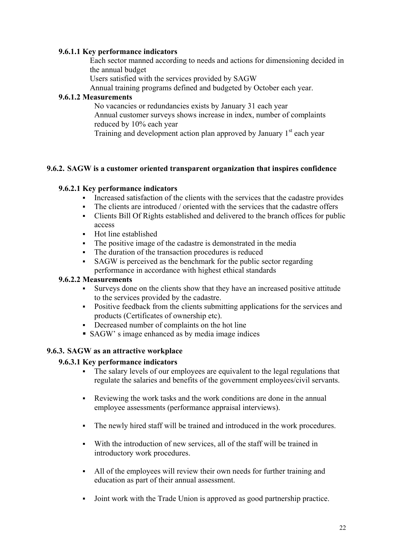## **9.6.1.1 Key performance indicators**

Each sector manned according to needs and actions for dimensioning decided in the annual budget

Users satisfied with the services provided by SAGW

Annual training programs defined and budgeted by October each year.

#### **9.6.1.2 Measurements**

No vacancies or redundancies exists by January 31 each year Annual customer surveys shows increase in index, number of complaints reduced by 10% each year

Training and development action plan approved by January  $1<sup>st</sup>$  each year

#### **9.6.2. SAGW is a customer oriented transparent organization that inspires confidence**

## **9.6.2.1 Key performance indicators**

- Increased satisfaction of the clients with the services that the cadastre provides
- The clients are introduced / oriented with the services that the cadastre offers
- Clients Bill Of Rights established and delivered to the branch offices for public access
- Hot line established
- The positive image of the cadastre is demonstrated in the media
- The duration of the transaction procedures is reduced
- SAGW is perceived as the benchmark for the public sector regarding performance in accordance with highest ethical standards

#### **9.6.2.2 Measurements**

- Surveys done on the clients show that they have an increased positive attitude to the services provided by the cadastre.
- Positive feedback from the clients submitting applications for the services and products (Certificates of ownership etc).
- Decreased number of complaints on the hot line
- SAGW' s image enhanced as by media image indices

## **9.6.3. SAGW as an attractive workplace**

#### **9.6.3.1 Key performance indicators**

- The salary levels of our employees are equivalent to the legal regulations that regulate the salaries and benefits of the government employees/civil servants.
- Reviewing the work tasks and the work conditions are done in the annual employee assessments (performance appraisal interviews).
- The newly hired staff will be trained and introduced in the work procedures.
- With the introduction of new services, all of the staff will be trained in introductory work procedures.
- All of the employees will review their own needs for further training and education as part of their annual assessment.
- Joint work with the Trade Union is approved as good partnership practice.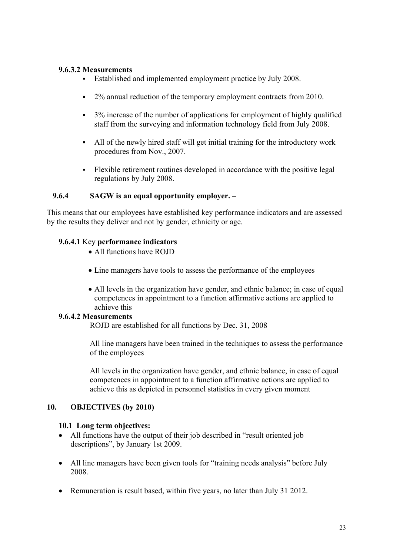#### **9.6.3.2 Measurements**

- Established and implemented employment practice by July 2008.
- <sup>2%</sup> annual reduction of the temporary employment contracts from 2010.
- $\overline{\phantom{a}}\hspace{0.1cm}$  3% increase of the number of applications for employment of highly qualified staff from the surveying and information technology field from July 2008.
- All of the newly hired staff will get initial training for the introductory work procedures from Nov., 2007.
- Flexible retirement routines developed in accordance with the positive legal regulations by July 2008.

#### **9.6.4 SAGW is an equal opportunity employer. –**

This means that our employees have established key performance indicators and are assessed by the results they deliver and not by gender, ethnicity or age.

#### **9.6.4.1** Key **performance indicators**

- All functions have ROID
- Line managers have tools to assess the performance of the employees
- All levels in the organization have gender, and ethnic balance; in case of equal competences in appointment to a function affirmative actions are applied to achieve this

#### **9.6.4.2 Measurements**

ROJD are established for all functions by Dec. 31, 2008

All line managers have been trained in the techniques to assess the performance of the employees

All levels in the organization have gender, and ethnic balance, in case of equal competences in appointment to a function affirmative actions are applied to achieve this as depicted in personnel statistics in every given moment

#### **10. OBJECTIVES (by 2010)**

#### **10.1 Long term objectives:**

- All functions have the output of their job described in "result oriented job descriptions", by January 1st 2009.
- All line managers have been given tools for "training needs analysis" before July 2008.
- Remuneration is result based, within five years, no later than July 31 2012.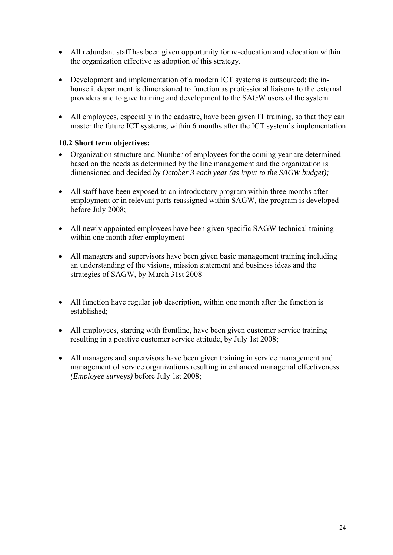- All redundant staff has been given opportunity for re-education and relocation within the organization effective as adoption of this strategy.
- Development and implementation of a modern ICT systems is outsourced; the inhouse it department is dimensioned to function as professional liaisons to the external providers and to give training and development to the SAGW users of the system.
- All employees, especially in the cadastre, have been given IT training, so that they can master the future ICT systems; within 6 months after the ICT system's implementation

## **10.2 Short term objectives:**

- Organization structure and Number of employees for the coming year are determined based on the needs as determined by the line management and the organization is dimensioned and decided *by October 3 each year (as input to the SAGW budget);*
- All staff have been exposed to an introductory program within three months after employment or in relevant parts reassigned within SAGW, the program is developed before July 2008;
- All newly appointed employees have been given specific SAGW technical training within one month after employment
- All managers and supervisors have been given basic management training including an understanding of the visions, mission statement and business ideas and the strategies of SAGW, by March 31st 2008
- All function have regular job description, within one month after the function is established;
- All employees, starting with frontline, have been given customer service training resulting in a positive customer service attitude, by July 1st 2008;
- All managers and supervisors have been given training in service management and management of service organizations resulting in enhanced managerial effectiveness *(Employee surveys)* before July 1st 2008;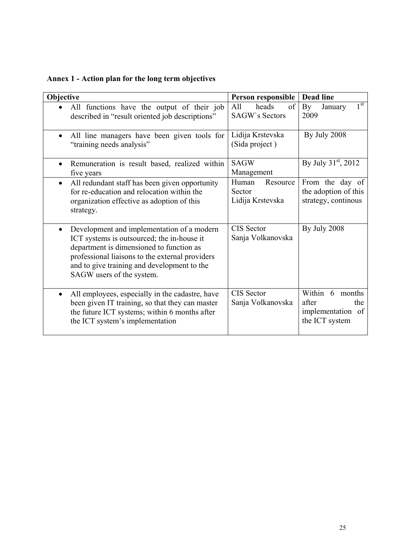**Annex 1 - Action plan for the long term objectives** 

| Objective                                                                                                                                                                                                                                                                        | Person responsible                              | <b>Dead line</b>                                                          |  |
|----------------------------------------------------------------------------------------------------------------------------------------------------------------------------------------------------------------------------------------------------------------------------------|-------------------------------------------------|---------------------------------------------------------------------------|--|
| All functions have the output of their job<br>described in "result oriented job descriptions"                                                                                                                                                                                    | All<br>heads<br>of<br><b>SAGW's Sectors</b>     | $1^{\overline{\text{st}}}$<br>By<br>January<br>2009                       |  |
| All line managers have been given tools for<br>"training needs analysis"                                                                                                                                                                                                         | Lidija Krstevska<br>(Sida project)              | By July 2008                                                              |  |
| Remuneration is result based, realized within<br>$\bullet$<br>five years                                                                                                                                                                                                         | <b>SAGW</b><br>Management                       | By July 31 <sup>st</sup> , 2012                                           |  |
| All redundant staff has been given opportunity<br>$\bullet$<br>for re-education and relocation within the<br>organization effective as adoption of this<br>strategy.                                                                                                             | Human<br>Resource<br>Sector<br>Lidija Krstevska | From the day of<br>the adoption of this<br>strategy, continous            |  |
| Development and implementation of a modern<br>$\bullet$<br>ICT systems is outsourced; the in-house it<br>department is dimensioned to function as<br>professional liaisons to the external providers<br>and to give training and development to the<br>SAGW users of the system. | <b>CIS</b> Sector<br>Sanja Volkanovska          | By July 2008                                                              |  |
| All employees, especially in the cadastre, have<br>$\bullet$<br>been given IT training, so that they can master<br>the future ICT systems; within 6 months after<br>the ICT system's implementation                                                                              | <b>CIS</b> Sector<br>Sanja Volkanovska          | Within 6<br>months<br>after<br>the<br>implementation of<br>the ICT system |  |